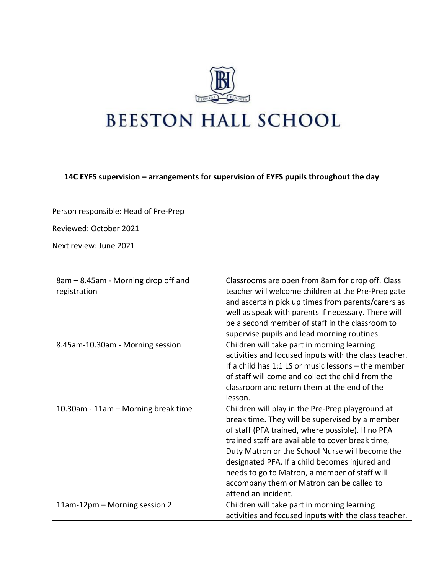

**14C EYFS supervision – arrangements for supervision of EYFS pupils throughout the day**

Person responsible: Head of Pre-Prep

Reviewed: October 2021

Next review: June 2021

| 8am - 8.45am - Morning drop off and | Classrooms are open from 8am for drop off. Class      |
|-------------------------------------|-------------------------------------------------------|
| registration                        | teacher will welcome children at the Pre-Prep gate    |
|                                     | and ascertain pick up times from parents/carers as    |
|                                     | well as speak with parents if necessary. There will   |
|                                     | be a second member of staff in the classroom to       |
|                                     | supervise pupils and lead morning routines.           |
| 8.45am-10.30am - Morning session    | Children will take part in morning learning           |
|                                     | activities and focused inputs with the class teacher. |
|                                     | If a child has 1:1 LS or music lessons - the member   |
|                                     | of staff will come and collect the child from the     |
|                                     | classroom and return them at the end of the           |
|                                     | lesson.                                               |
| 10.30am - 11am - Morning break time | Children will play in the Pre-Prep playground at      |
|                                     | break time. They will be supervised by a member       |
|                                     | of staff (PFA trained, where possible). If no PFA     |
|                                     | trained staff are available to cover break time,      |
|                                     |                                                       |
|                                     | Duty Matron or the School Nurse will become the       |
|                                     | designated PFA. If a child becomes injured and        |
|                                     | needs to go to Matron, a member of staff will         |
|                                     | accompany them or Matron can be called to             |
|                                     | attend an incident.                                   |
| 11am-12pm – Morning session 2       | Children will take part in morning learning           |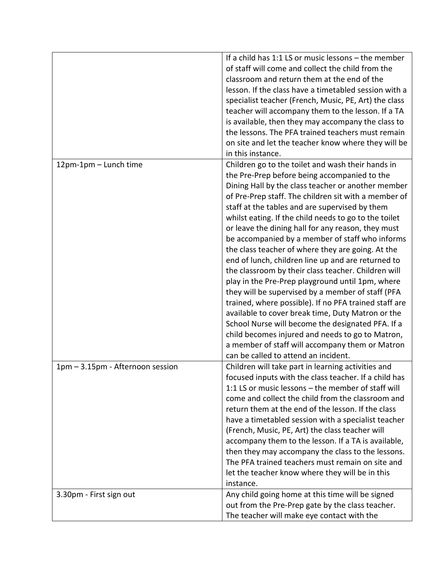|                                  | If a child has 1:1 LS or music lessons - the member   |
|----------------------------------|-------------------------------------------------------|
|                                  | of staff will come and collect the child from the     |
|                                  | classroom and return them at the end of the           |
|                                  | lesson. If the class have a timetabled session with a |
|                                  |                                                       |
|                                  | specialist teacher (French, Music, PE, Art) the class |
|                                  | teacher will accompany them to the lesson. If a TA    |
|                                  | is available, then they may accompany the class to    |
|                                  | the lessons. The PFA trained teachers must remain     |
|                                  | on site and let the teacher know where they will be   |
|                                  | in this instance.                                     |
| 12pm-1pm - Lunch time            | Children go to the toilet and wash their hands in     |
|                                  | the Pre-Prep before being accompanied to the          |
|                                  | Dining Hall by the class teacher or another member    |
|                                  | of Pre-Prep staff. The children sit with a member of  |
|                                  | staff at the tables and are supervised by them        |
|                                  | whilst eating. If the child needs to go to the toilet |
|                                  | or leave the dining hall for any reason, they must    |
|                                  | be accompanied by a member of staff who informs       |
|                                  | the class teacher of where they are going. At the     |
|                                  | end of lunch, children line up and are returned to    |
|                                  | the classroom by their class teacher. Children will   |
|                                  |                                                       |
|                                  | play in the Pre-Prep playground until 1pm, where      |
|                                  | they will be supervised by a member of staff (PFA     |
|                                  | trained, where possible). If no PFA trained staff are |
|                                  | available to cover break time, Duty Matron or the     |
|                                  | School Nurse will become the designated PFA. If a     |
|                                  | child becomes injured and needs to go to Matron,      |
|                                  | a member of staff will accompany them or Matron       |
|                                  | can be called to attend an incident.                  |
| 1pm - 3.15pm - Afternoon session | Children will take part in learning activities and    |
|                                  | focused inputs with the class teacher. If a child has |
|                                  | 1:1 LS or music lessons – the member of staff will    |
|                                  | come and collect the child from the classroom and     |
|                                  | return them at the end of the lesson. If the class    |
|                                  | have a timetabled session with a specialist teacher   |
|                                  | (French, Music, PE, Art) the class teacher will       |
|                                  | accompany them to the lesson. If a TA is available,   |
|                                  | then they may accompany the class to the lessons.     |
|                                  | The PFA trained teachers must remain on site and      |
|                                  | let the teacher know where they will be in this       |
|                                  | instance.                                             |
| 3.30pm - First sign out          | Any child going home at this time will be signed      |
|                                  | out from the Pre-Prep gate by the class teacher.      |
|                                  | The teacher will make eye contact with the            |